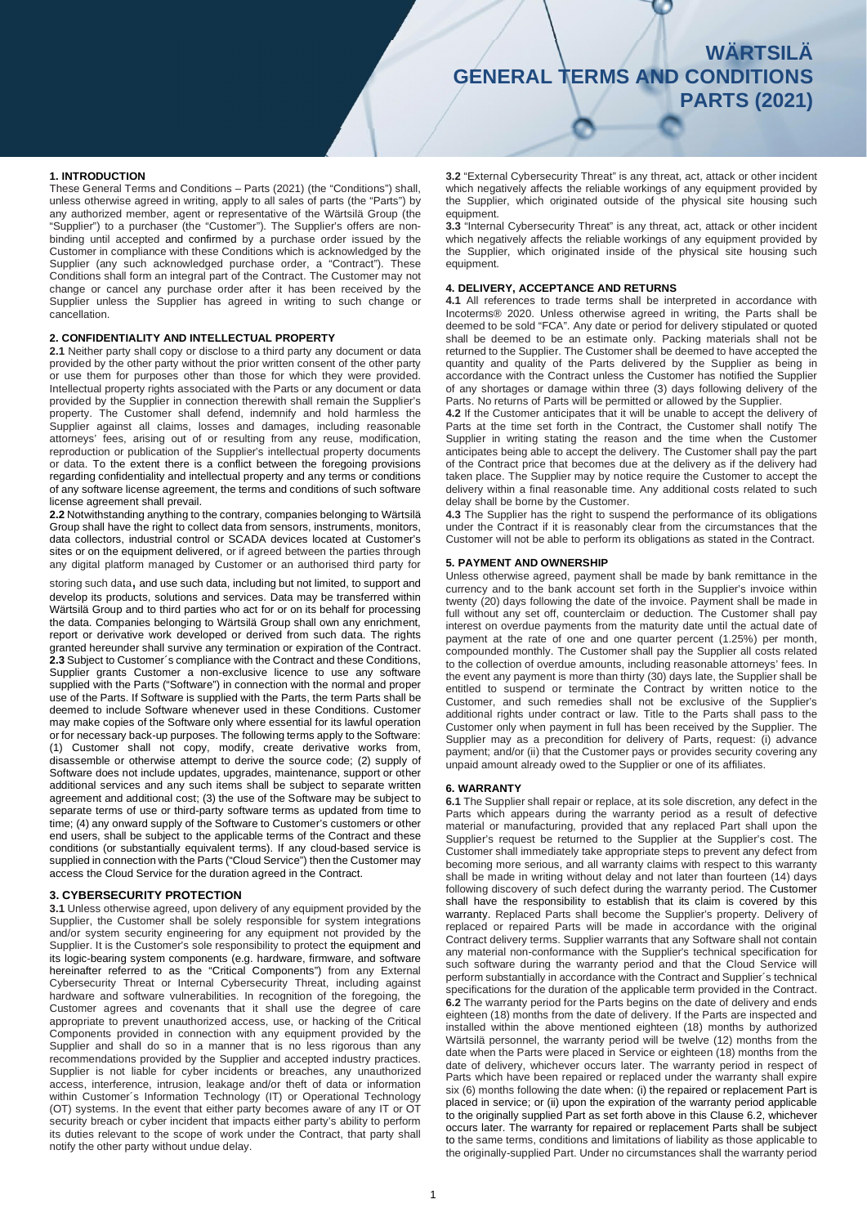# **WÄRTSILÄ WÄRTSILÄ GENERAL TERMS AND CONDITIONS GENERAL TERMS AND CONDITIONS PARTS (2021)**

#### **1. INTRODUCTION**

These General Terms and Conditions – Parts (2021) (the "Conditions") shall, unless otherwise agreed in writing, apply to all sales of parts (the "Parts") by any authorized member, agent or representative of the Wärtsilä Group (the "Supplier") to a purchaser (the "Customer"). The Supplier's offers are nonbinding until accepted and confirmed by a purchase order issued by the Customer in compliance with these Conditions which is acknowledged by the Supplier (any such acknowledged purchase order, a "Contract"). These Conditions shall form an integral part of the Contract. The Customer may not change or cancel any purchase order after it has been received by the Supplier unless the Supplier has agreed in writing to such change or cancellation.

#### **2. CONFIDENTIALITY AND INTELLECTUAL PROPERTY**

**2.1** Neither party shall copy or disclose to a third party any document or data provided by the other party without the prior written consent of the other party or use them for purposes other than those for which they were provided. Intellectual property rights associated with the Parts or any document or data provided by the Supplier in connection therewith shall remain the Supplier's property. The Customer shall defend, indemnify and hold harmless the Supplier against all claims, losses and damages, including reasonable attorneys' fees, arising out of or resulting from any reuse, modification, reproduction or publication of the Supplier's intellectual property documents or data. To the extent there is a conflict between the foregoing provisions regarding confidentiality and intellectual property and any terms or conditions of any software license agreement, the terms and conditions of such software license agreement shall prevail.

**2.2** Notwithstanding anything to the contrary, companies belonging to Wärtsilä Group shall have the right to collect data from sensors, instruments, monitors, data collectors, industrial control or SCADA devices located at Customer's sites or on the equipment delivered, or if agreed between the parties through any digital platform managed by Customer or an authorised third party for

storing such data, and use such data, including but not limited, to support and develop its products, solutions and services. Data may be transferred within Wärtsilä Group and to third parties who act for or on its behalf for processing the data. Companies belonging to Wärtsilä Group shall own any enrichment, report or derivative work developed or derived from such data. The rights granted hereunder shall survive any termination or expiration of the Contract. **2.3** Subject to Customer´s compliance with the Contract and these Conditions, Supplier grants Customer a non-exclusive licence to use any software supplied with the Parts ("Software") in connection with the normal and proper use of the Parts. If Software is supplied with the Parts, the term Parts shall be deemed to include Software whenever used in these Conditions. Customer may make copies of the Software only where essential for its lawful operation or for necessary back-up purposes. The following terms apply to the Software: (1) Customer shall not copy, modify, create derivative works from, disassemble or otherwise attempt to derive the source code; (2) supply of Software does not include updates, upgrades, maintenance, support or other additional services and any such items shall be subject to separate written agreement and additional cost; (3) the use of the Software may be subject to separate terms of use or third-party software terms as updated from time to time; (4) any onward supply of the Software to Customer's customers or other end users, shall be subject to the applicable terms of the Contract and these conditions (or substantially equivalent terms). If any cloud-based service is supplied in connection with the Parts ("Cloud Service") then the Customer may access the Cloud Service for the duration agreed in the Contract.

## **3. CYBERSECURITY PROTECTION**

**3.1** Unless otherwise agreed, upon delivery of any equipment provided by the Supplier, the Customer shall be solely responsible for system integrations and/or system security engineering for any equipment not provided by the Supplier. It is the Customer's sole responsibility to protect the equipment and its logic-bearing system components (e.g. hardware, firmware, and software hereinafter referred to as the "Critical Components") from any External Cybersecurity Threat or Internal Cybersecurity Threat, including against hardware and software vulnerabilities. In recognition of the foregoing, the Customer agrees and covenants that it shall use the degree of care appropriate to prevent unauthorized access, use, or hacking of the Critical Components provided in connection with any equipment provided by the Supplier and shall do so in a manner that is no less rigorous than any recommendations provided by the Supplier and accepted industry practices. Supplier is not liable for cyber incidents or breaches, any unauthorized access, interference, intrusion, leakage and/or theft of data or information within Customer´s Information Technology (IT) or Operational Technology (OT) systems. In the event that either party becomes aware of any IT or OT security breach or cyber incident that impacts either party's ability to perform its duties relevant to the scope of work under the Contract, that party shall notify the other party without undue delay.

**3.2** "External Cybersecurity Threat" is any threat, act, attack or other incident which negatively affects the reliable workings of any equipment provided by the Supplier, which originated outside of the physical site housing such equipment.

**3.3** "Internal Cybersecurity Threat" is any threat, act, attack or other incident which negatively affects the reliable workings of any equipment provided by the Supplier, which originated inside of the physical site housing such equipment.

#### **4. DELIVERY, ACCEPTANCE AND RETURNS**

**4.1** All references to trade terms shall be interpreted in accordance with Incoterms® 2020. Unless otherwise agreed in writing, the Parts shall be deemed to be sold "FCA". Any date or period for delivery stipulated or quoted shall be deemed to be an estimate only. Packing materials shall not be returned to the Supplier. The Customer shall be deemed to have accepted the quantity and quality of the Parts delivered by the Supplier as being in accordance with the Contract unless the Customer has notified the Supplier of any shortages or damage within three (3) days following delivery of the Parts. No returns of Parts will be permitted or allowed by the Supplier.

**4.2** If the Customer anticipates that it will be unable to accept the delivery of Parts at the time set forth in the Contract, the Customer shall notify The Supplier in writing stating the reason and the time when the Customer anticipates being able to accept the delivery. The Customer shall pay the part of the Contract price that becomes due at the delivery as if the delivery had taken place. The Supplier may by notice require the Customer to accept the delivery within a final reasonable time. Any additional costs related to such delay shall be borne by the Customer.

**4.3** The Supplier has the right to suspend the performance of its obligations under the Contract if it is reasonably clear from the circumstances that the Customer will not be able to perform its obligations as stated in the Contract.

# **5. PAYMENT AND OWNERSHIP**

Unless otherwise agreed, payment shall be made by bank remittance in the currency and to the bank account set forth in the Supplier's invoice within twenty (20) days following the date of the invoice. Payment shall be made in full without any set off, counterclaim or deduction. The Customer shall pay interest on overdue payments from the maturity date until the actual date of payment at the rate of one and one quarter percent (1.25%) per month, compounded monthly. The Customer shall pay the Supplier all costs related to the collection of overdue amounts, including reasonable attorneys' fees. In the event any payment is more than thirty (30) days late, the Supplier shall be entitled to suspend or terminate the Contract by written notice to the Customer, and such remedies shall not be exclusive of the Supplier's additional rights under contract or law. Title to the Parts shall pass to the Customer only when payment in full has been received by the Supplier. The Supplier may as a precondition for delivery of Parts, request: (i) advance payment; and/or (ii) that the Customer pays or provides security covering any unpaid amount already owed to the Supplier or one of its affiliates.

# **6. WARRANTY**

**6.1** The Supplier shall repair or replace, at its sole discretion, any defect in the Parts which appears during the warranty period as a result of defective material or manufacturing, provided that any replaced Part shall upon the Supplier's request be returned to the Supplier at the Supplier's cost. The Customer shall immediately take appropriate steps to prevent any defect from becoming more serious, and all warranty claims with respect to this warranty shall be made in writing without delay and not later than fourteen (14) days following discovery of such defect during the warranty period. The Customer shall have the responsibility to establish that its claim is covered by this warranty. Replaced Parts shall become the Supplier's property. Delivery of replaced or repaired Parts will be made in accordance with the original Contract delivery terms. Supplier warrants that any Software shall not contain any material non-conformance with the Supplier's technical specification for such software during the warranty period and that the Cloud Service will perform substantially in accordance with the Contract and Supplier´s technical specifications for the duration of the applicable term provided in the Contract. **6.2** The warranty period for the Parts begins on the date of delivery and ends eighteen (18) months from the date of delivery. If the Parts are inspected and installed within the above mentioned eighteen (18) months by authorized Wärtsilä personnel, the warranty period will be twelve (12) months from the date when the Parts were placed in Service or eighteen (18) months from the date of delivery, whichever occurs later. The warranty period in respect of Parts which have been repaired or replaced under the warranty shall expire six (6) months following the date when: (i) the repaired or replacement Part is placed in service; or (ii) upon the expiration of the warranty period applicable to the originally supplied Part as set forth above in this Clause 6.2, whichever occurs later. The warranty for repaired or replacement Parts shall be subject to the same terms, conditions and limitations of liability as those applicable to the originally-supplied Part. Under no circumstances shall the warranty period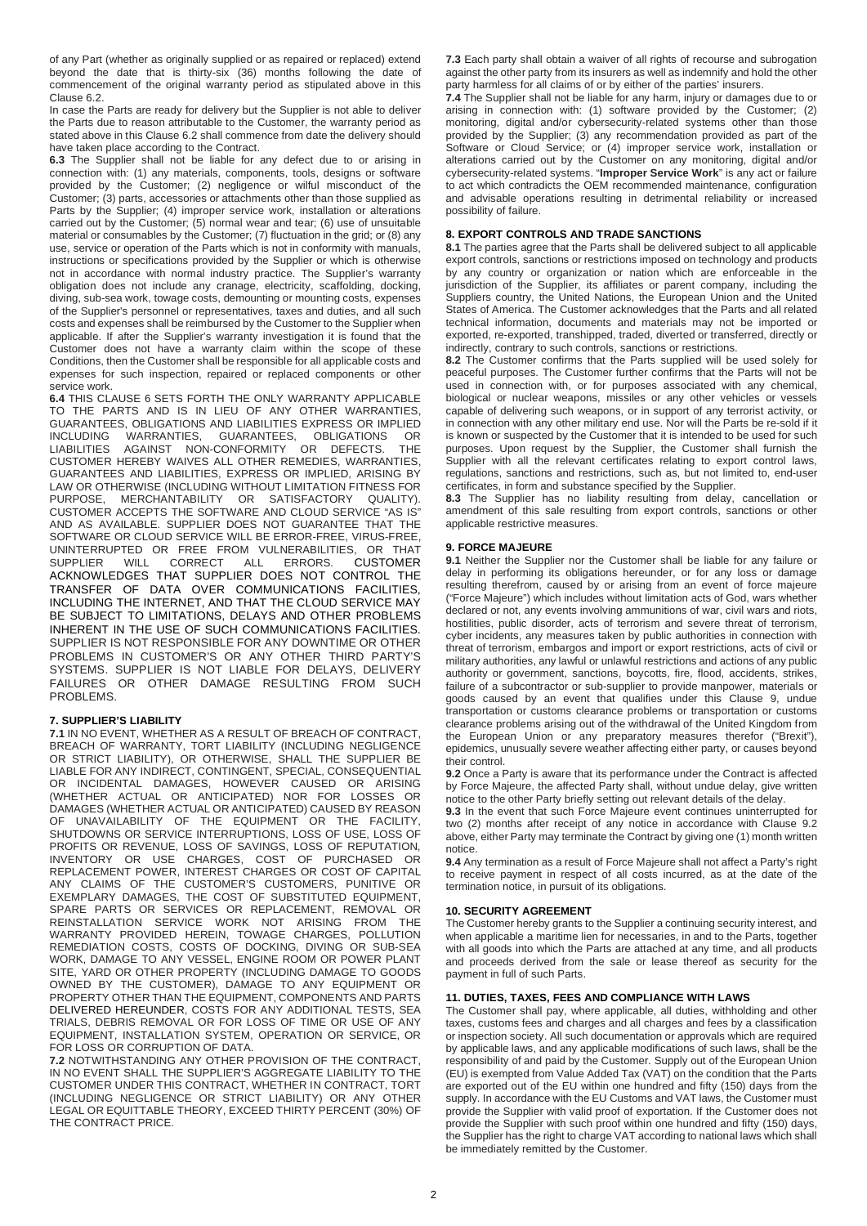of any Part (whether as originally supplied or as repaired or replaced) extend beyond the date that is thirty-six (36) months following the date of commencement of the original warranty period as stipulated above in this Clause 6.2.

In case the Parts are ready for delivery but the Supplier is not able to deliver the Parts due to reason attributable to the Customer, the warranty period as stated above in this Clause 6.2 shall commence from date the delivery should have taken place according to the Contract.

**6.3** The Supplier shall not be liable for any defect due to or arising in connection with: (1) any materials, components, tools, designs or software provided by the Customer; (2) negligence or wilful misconduct of the Customer; (3) parts, accessories or attachments other than those supplied as Parts by the Supplier; (4) improper service work, installation or alterations carried out by the Customer; (5) normal wear and tear; (6) use of unsuitable material or consumables by the Customer; (7) fluctuation in the grid; or (8) any use, service or operation of the Parts which is not in conformity with manuals, instructions or specifications provided by the Supplier or which is otherwise not in accordance with normal industry practice. The Supplier's warranty obligation does not include any cranage, electricity, scaffolding, docking, diving, sub-sea work, towage costs, demounting or mounting costs, expenses of the Supplier's personnel or representatives, taxes and duties, and all such costs and expenses shall be reimbursed by the Customer to the Supplier when applicable. If after the Supplier's warranty investigation it is found that the Customer does not have a warranty claim within the scope of these Conditions, then the Customer shall be responsible for all applicable costs and expenses for such inspection, repaired or replaced components or other service work.

**6.4** THIS CLAUSE 6 SETS FORTH THE ONLY WARRANTY APPLICABLE TO THE PARTS AND IS IN LIEU OF ANY OTHER WARRANTIES, GUARANTEES, OBLIGATIONS AND LIABILITIES EXPRESS OR IMPLIED INCLUDING WARRANTIES, GUARANTEES, OBLIGATIONS OR INCLUDING WARRANTIES, GUARANTEES, OBLIGATIONS OR AGAINST NON-CONFORMITY OR DEFECTS. THE CUSTOMER HEREBY WAIVES ALL OTHER REMEDIES, WARRANTIES, GUARANTEES AND LIABILITIES, EXPRESS OR IMPLIED, ARISING BY LAW OR OTHERWISE (INCLUDING WITHOUT LIMITATION FITNESS FOR PURPOSE, MERCHANTABILITY OR SATISFACTORY QUALITY). CUSTOMER ACCEPTS THE SOFTWARE AND CLOUD SERVICE "AS IS" AND AS AVAILABLE. SUPPLIER DOES NOT GUARANTEE THAT THE SOFTWARE OR CLOUD SERVICE WILL BE ERROR-FREE, VIRUS-FREE, UNINTERRUPTED OR FREE FROM VULNERABILITIES, OR THAT CORRECT ALL ERRORS. ACKNOWLEDGES THAT SUPPLIER DOES NOT CONTROL THE TRANSFER OF DATA OVER COMMUNICATIONS FACILITIES, INCLUDING THE INTERNET, AND THAT THE CLOUD SERVICE MAY BE SUBJECT TO LIMITATIONS, DELAYS AND OTHER PROBLEMS INHERENT IN THE USE OF SUCH COMMUNICATIONS FACILITIES. SUPPLIER IS NOT RESPONSIBLE FOR ANY DOWNTIME OR OTHER PROBLEMS IN CUSTOMER'S OR ANY OTHER THIRD PARTY'S SYSTEMS. SUPPLIER IS NOT LIABLE FOR DELAYS, DELIVERY FAILURES OR OTHER DAMAGE RESULTING FROM SUCH PROBLEMS.

#### **7. SUPPLIER'S LIABILITY**

**7.1** IN NO EVENT, WHETHER AS A RESULT OF BREACH OF CONTRACT, BREACH OF WARRANTY, TORT LIABILITY (INCLUDING NEGLIGENCE OR STRICT LIABILITY), OR OTHERWISE, SHALL THE SUPPLIER BE LIABLE FOR ANY INDIRECT, CONTINGENT, SPECIAL, CONSEQUENTIAL OR INCIDENTAL DAMAGES, HOWEVER CAUSED OR ARISING (WHETHER ACTUAL OR ANTICIPATED) NOR FOR LOSSES OR DAMAGES (WHETHER ACTUAL OR ANTICIPATED) CAUSED BY REASON OF UNAVAILABILITY OF THE EQUIPMENT OR THE FACILITY, SHUTDOWNS OR SERVICE INTERRUPTIONS, LOSS OF USE, LOSS OF PROFITS OR REVENUE, LOSS OF SAVINGS, LOSS OF REPUTATION, INVENTORY OR USE CHARGES, COST OF PURCHASED OR REPLACEMENT POWER, INTEREST CHARGES OR COST OF CAPITAL ANY CLAIMS OF THE CUSTOMER'S CUSTOMERS, PUNITIVE OR EXEMPLARY DAMAGES, THE COST OF SUBSTITUTED EQUIPMENT, SPARE PARTS OR SERVICES OR REPLACEMENT, REMOVAL OR REINSTALLATION SERVICE WORK NOT ARISING FROM THE WARRANTY PROVIDED HEREIN, TOWAGE CHARGES, POLLUTION REMEDIATION COSTS, COSTS OF DOCKING, DIVING OR SUB-SEA WORK, DAMAGE TO ANY VESSEL, ENGINE ROOM OR POWER PLANT SITE, YARD OR OTHER PROPERTY (INCLUDING DAMAGE TO GOODS OWNED BY THE CUSTOMER), DAMAGE TO ANY EQUIPMENT OR PROPERTY OTHER THAN THE EQUIPMENT, COMPONENTS AND PARTS DELIVERED HEREUNDER, COSTS FOR ANY ADDITIONAL TESTS, SEA TRIALS, DEBRIS REMOVAL OR FOR LOSS OF TIME OR USE OF ANY EQUIPMENT, INSTALLATION SYSTEM, OPERATION OR SERVICE, OR FOR LOSS OR CORRUPTION OF DATA.

**7.2** NOTWITHSTANDING ANY OTHER PROVISION OF THE CONTRACT, IN NO EVENT SHALL THE SUPPLIER'S AGGREGATE LIABILITY TO THE CUSTOMER UNDER THIS CONTRACT, WHETHER IN CONTRACT, TORT (INCLUDING NEGLIGENCE OR STRICT LIABILITY) OR ANY OTHER LEGAL OR EQUITTABLE THEORY, EXCEED THIRTY PERCENT (30%) OF THE CONTRACT PRICE.

**7.3** Each party shall obtain a waiver of all rights of recourse and subrogation against the other party from its insurers as well as indemnify and hold the other party harmless for all claims of or by either of the parties' insurers.

**7.4** The Supplier shall not be liable for any harm, injury or damages due to or arising in connection with: (1) software provided by the Customer; (2) monitoring, digital and/or cybersecurity-related systems other than those provided by the Supplier; (3) any recommendation provided as part of the Software or Cloud Service; or (4) improper service work, installation or alterations carried out by the Customer on any monitoring, digital and/or cybersecurity-related systems. "**Improper Service Work**" is any act or failure to act which contradicts the OEM recommended maintenance, configuration and advisable operations resulting in detrimental reliability or increased possibility of failure.

# **8. EXPORT CONTROLS AND TRADE SANCTIONS**

**8.1** The parties agree that the Parts shall be delivered subject to all applicable export controls, sanctions or restrictions imposed on technology and products by any country or organization or nation which are enforceable in the jurisdiction of the Supplier, its affiliates or parent company, including the Suppliers country, the United Nations, the European Union and the United States of America. The Customer acknowledges that the Parts and all related technical information, documents and materials may not be imported or exported, re-exported, transhipped, traded, diverted or transferred, directly or indirectly, contrary to such controls, sanctions or restrictions.

**8.2** The Customer confirms that the Parts supplied will be used solely for peaceful purposes. The Customer further confirms that the Parts will not be used in connection with, or for purposes associated with any chemical, biological or nuclear weapons, missiles or any other vehicles or vessels capable of delivering such weapons, or in support of any terrorist activity, or in connection with any other military end use. Nor will the Parts be re-sold if it is known or suspected by the Customer that it is intended to be used for such purposes. Upon request by the Supplier, the Customer shall furnish the Supplier with all the relevant certificates relating to export control laws, regulations, sanctions and restrictions, such as, but not limited to, end-user certificates, in form and substance specified by the Supplier.

**8.3** The Supplier has no liability resulting from delay, cancellation or amendment of this sale resulting from export controls, sanctions or other applicable restrictive measures.

# **9. FORCE MAJEURE**

**9.1** Neither the Supplier nor the Customer shall be liable for any failure or delay in performing its obligations hereunder, or for any loss or damage resulting therefrom, caused by or arising from an event of force majeure ("Force Majeure") which includes without limitation acts of God, wars whether declared or not, any events involving ammunitions of war, civil wars and riots, hostilities, public disorder, acts of terrorism and severe threat of terrorism, cyber incidents, any measures taken by public authorities in connection with threat of terrorism, embargos and import or export restrictions, acts of civil or military authorities, any lawful or unlawful restrictions and actions of any public authority or government, sanctions, boycotts, fire, flood, accidents, strikes, failure of a subcontractor or sub-supplier to provide manpower, materials or goods caused by an event that qualifies under this Clause 9, undue transportation or customs clearance problems or transportation or customs clearance problems arising out of the withdrawal of the United Kingdom from the European Union or any preparatory measures therefor ("Brexit"), epidemics, unusually severe weather affecting either party, or causes beyond their control.

**9.2** Once a Party is aware that its performance under the Contract is affected by Force Majeure, the affected Party shall, without undue delay, give written notice to the other Party briefly setting out relevant details of the delay.

**9.3** In the event that such Force Majeure event continues uninterrupted for two (2) months after receipt of any notice in accordance with Clause 9.2 above, either Party may terminate the Contract by giving one (1) month written notice.

**9.4** Any termination as a result of Force Majeure shall not affect a Party's right to receive payment in respect of all costs incurred, as at the date of the termination notice, in pursuit of its obligations.

#### **10. SECURITY AGREEMENT**

The Customer hereby grants to the Supplier a continuing security interest, and when applicable a maritime lien for necessaries, in and to the Parts, together with all goods into which the Parts are attached at any time, and all products and proceeds derived from the sale or lease thereof as security for the payment in full of such Parts.

# **11. DUTIES, TAXES, FEES AND COMPLIANCE WITH LAWS**

The Customer shall pay, where applicable, all duties, withholding and other taxes, customs fees and charges and all charges and fees by a classification or inspection society. All such documentation or approvals which are required by applicable laws, and any applicable modifications of such laws, shall be the responsibility of and paid by the Customer. Supply out of the European Union (EU) is exempted from Value Added Tax (VAT) on the condition that the Parts are exported out of the EU within one hundred and fifty (150) days from the supply. In accordance with the EU Customs and VAT laws, the Customer must provide the Supplier with valid proof of exportation. If the Customer does not provide the Supplier with such proof within one hundred and fifty (150) days, the Supplier has the right to charge VAT according to national laws which shall be immediately remitted by the Customer.